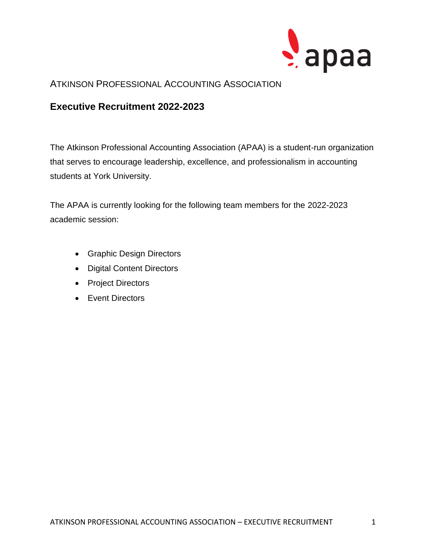

### ATKINSON PROFESSIONAL ACCOUNTING ASSOCIATION

## **Executive Recruitment 2022-2023**

The Atkinson Professional Accounting Association (APAA) is a student-run organization that serves to encourage leadership, excellence, and professionalism in accounting students at York University.

The APAA is currently looking for the following team members for the 2022-2023 academic session:

- Graphic Design Directors
- Digital Content Directors
- Project Directors
- Event Directors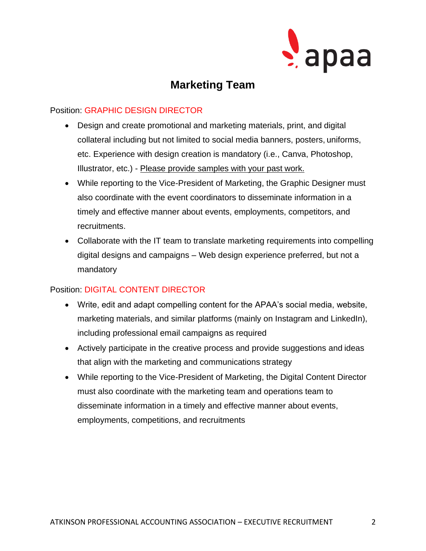

# **Marketing Team**

#### Position: GRAPHIC DESIGN DIRECTOR

- Design and create promotional and marketing materials, print, and digital collateral including but not limited to social media banners, posters, uniforms, etc. Experience with design creation is mandatory (i.e., Canva, Photoshop, Illustrator, etc.) - Please provide samples with your past work.
- While reporting to the Vice-President of Marketing, the Graphic Designer must also coordinate with the event coordinators to disseminate information in a timely and effective manner about events, employments, competitors, and recruitments.
- Collaborate with the IT team to translate marketing requirements into compelling digital designs and campaigns – Web design experience preferred, but not a mandatory

### Position: DIGITAL CONTENT DIRECTOR

- Write, edit and adapt compelling content for the APAA's social media, website, marketing materials, and similar platforms (mainly on Instagram and LinkedIn), including professional email campaigns as required
- Actively participate in the creative process and provide suggestions and ideas that align with the marketing and communications strategy
- While reporting to the Vice-President of Marketing, the Digital Content Director must also coordinate with the marketing team and operations team to disseminate information in a timely and effective manner about events, employments, competitions, and recruitments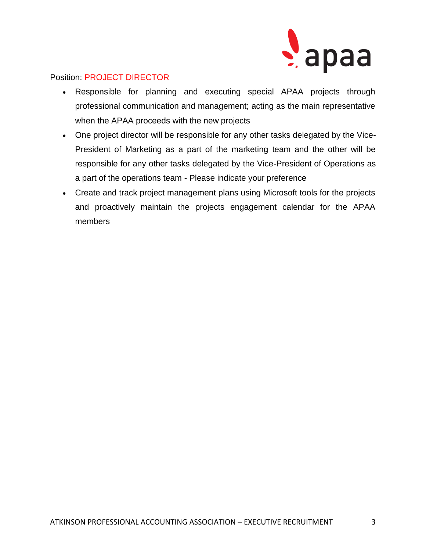

#### Position: PROJECT DIRECTOR

- Responsible for planning and executing special APAA projects through professional communication and management; acting as the main representative when the APAA proceeds with the new projects
- One project director will be responsible for any other tasks delegated by the Vice-President of Marketing as a part of the marketing team and the other will be responsible for any other tasks delegated by the Vice-President of Operations as a part of the operations team - Please indicate your preference
- Create and track project management plans using Microsoft tools for the projects and proactively maintain the projects engagement calendar for the APAA members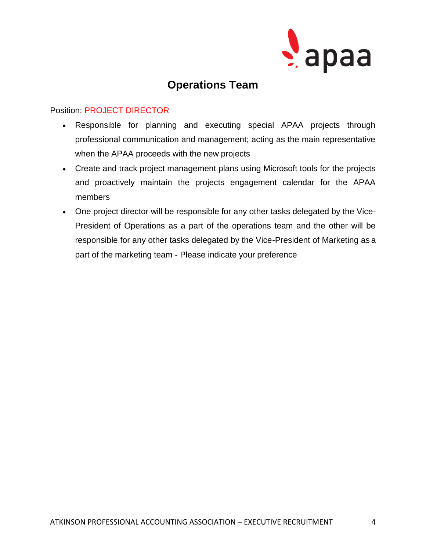

# **Operations Team**

#### Position: PROJECT DIRECTOR

- Responsible for planning and executing special APAA projects through professional communication and management; acting as the main representative when the APAA proceeds with the new projects
- Create and track project management plans using Microsoft tools for the projects and proactively maintain the projects engagement calendar for the APAA members
- One project director will be responsible for any other tasks delegated by the Vice-President of Operations as a part of the operations team and the other will be responsible for any other tasks delegated by the Vice-President of Marketing as a part of the marketing team - Please indicate your preference